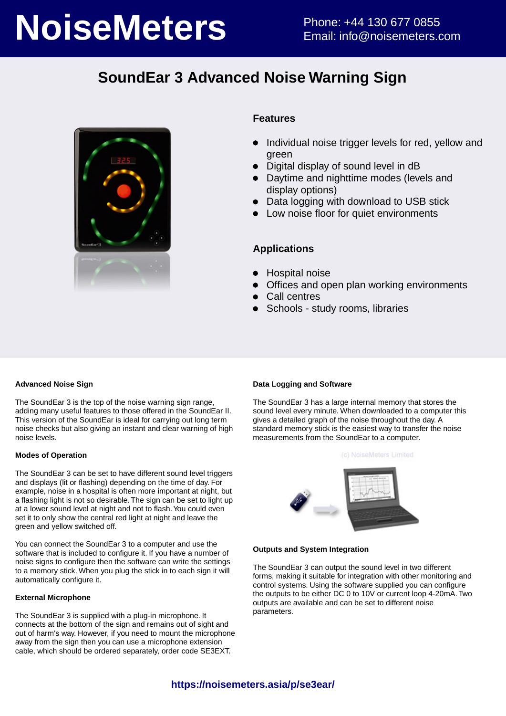# **NoiseMeters** Phone: +44 130 677 0855

## **SoundEar 3 Advanced Noise Warning Sign**



#### **Features**

- Individual noise trigger levels for red, yellow and green
- Digital display of sound level in dB
- Daytime and nighttime modes (levels and display options)
- Data logging with download to USB stick
- Low noise floor for quiet environments

#### **Applications**

- Hospital noise
- Offices and open plan working environments
- Call centres
- Schools study rooms, libraries

#### **Advanced Noise Sign**

The SoundEar 3 is the top of the noise warning sign range, adding many useful features to those offered in the SoundEar II. This version of the SoundEar is ideal for carrying out long term noise checks but also giving an instant and clear warning of high noise levels.

#### **Modes of Operation**

The SoundEar 3 can be set to have different sound level triggers and displays (lit or flashing) depending on the time of day. For example, noise in a hospital is often more important at night, but a flashing light is not so desirable. The sign can be set to light up at a lower sound level at night and not to flash. You could even set it to only show the central red light at night and leave the green and yellow switched off.

You can connect the SoundEar 3 to a computer and use the software that is included to configure it. If you have a number of noise signs to configure then the software can write the settings to a memory stick. When you plug the stick in to each sign it will automatically configure it.

#### **External Microphone**

The SoundEar 3 is supplied with a plug-in microphone. It connects at the bottom of the sign and remains out of sight and out of harm's way. However, if you need to mount the microphone away from the sign then you can use a microphone extension cable, which should be ordered separately, order code SE3EXT.

#### **Data Logging and Software**

The SoundEar 3 has a large internal memory that stores the sound level every minute. When downloaded to a computer this gives a detailed graph of the noise throughout the day. A standard memory stick is the easiest way to transfer the noise measurements from the SoundEar to a computer.





#### **Outputs and System Integration**

The SoundEar 3 can output the sound level in two different forms, making it suitable for integration with other monitoring and control systems. Using the software supplied you can configure the outputs to be either DC 0 to 10V or current loop 4-20mA. Two outputs are available and can be set to different noise parameters.